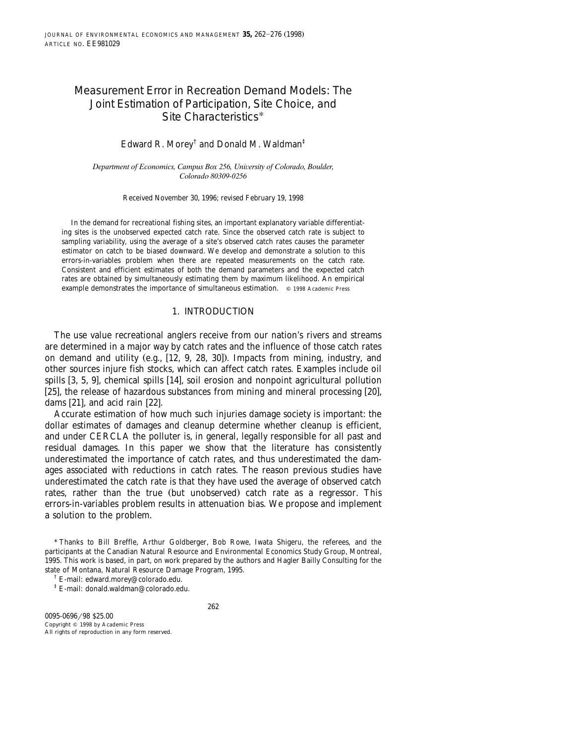# Measurement Error in Recreation Demand Models: The Joint Estimation of Participation, Site Choice, and Site Characteristics\*

## Edward R. Morey<sup>†</sup> and Donald M. Waldman<sup>‡</sup>

*Department of Economics, Campus Box 256, University of Colorado, Boulder, Colorado 80309-0256*

Received November 30, 1996; revised February 19, 1998

In the demand for recreational fishing sites, an important explanatory variable differentiating sites is the unobserved expected catch rate. Since the observed catch rate is subject to sampling variability, using the average of a site's observed catch rates causes the parameter estimator on catch to be biased downward. We develop and demonstrate a solution to this errors-in-variables problem when there are repeated measurements on the catch rate. Consistent and efficient estimates of both the demand parameters and the expected catch rates are obtained by simultaneously estimating them by maximum likelihood. An empirical example demonstrates the importance of simultaneous estimation.  $\circ$  1998 Academic Press

#### 1. INTRODUCTION

The use value recreational anglers receive from our nation's rivers and streams are determined in a major way by catch rates and the influence of those catch rates on demand and utility (e.g.,  $[12, 9, 28, 30]$ ). Impacts from mining, industry, and other sources injure fish stocks, which can affect catch rates. Examples include oil spills  $[3, 5, 9]$ , chemical spills  $[14]$ , soil erosion and nonpoint agricultural pollution  $[25]$ , the release of hazardous substances from mining and mineral processing  $[20]$ , dams  $[21]$ , and acid rain  $[22]$ .

Accurate estimation of how much such injuries damage society is important: the dollar estimates of damages and cleanup determine whether cleanup is efficient, and under CERCLA the polluter is, in general, legally responsible for all past and residual damages. In this paper we show that the literature has consistently underestimated the importance of catch rates, and thus underestimated the damages associated with reductions in catch rates. The reason previous studies have underestimated the catch rate is that they have used the average of observed catch rates, rather than the true (but unobserved) catch rate as a regressor. This errors-in-variables problem results in attenuation bias. We propose and implement a solution to the problem.

<sup>\*</sup> Thanks to Bill Breffle, Arthur Goldberger, Bob Rowe, Iwata Shigeru, the referees, and the participants at the Canadian Natural Resource and Environmental Economics Study Group, Montreal, 1995. This work is based, in part, on work prepared by the authors and Hagler Bailly Consulting for the state of Montana, Natural Resource Damage Program, 1995. † E-mail: edward.morey@colorado.edu.

<sup>‡</sup> E-mail: donald.waldman@colorado.edu.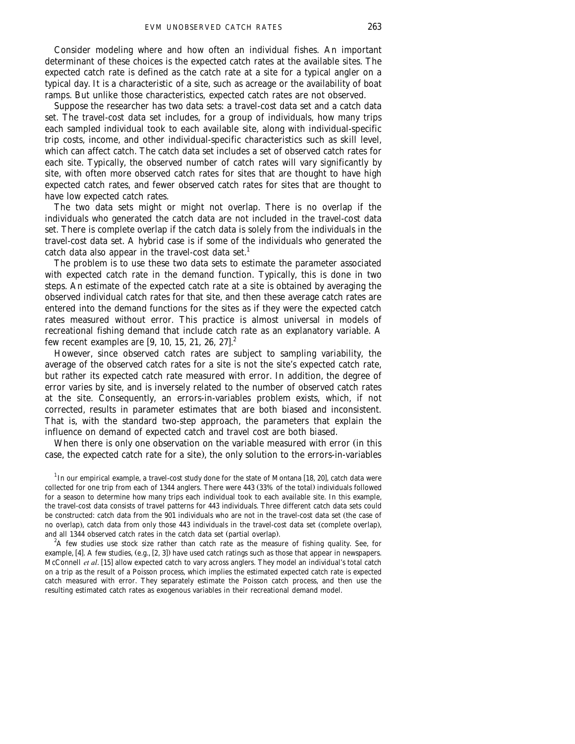Consider modeling where and how often an individual fishes. An important determinant of these choices is the expected catch rates at the available sites. The expected catch rate is defined as the catch rate at a site for a typical angler on a typical day. It is a characteristic of a site, such as acreage or the availability of boat ramps. But unlike those characteristics, expected catch rates are not observed.

Suppose the researcher has two data sets: a travel-cost data set and a catch data set. The travel-cost data set includes, for a group of individuals, how many trips each sampled individual took to each available site, along with individual-specific trip costs, income, and other individual-specific characteristics such as skill level, which can affect catch. The catch data set includes a set of observed catch rates for each site. Typically, the observed number of catch rates will vary significantly by site, with often more observed catch rates for sites that are thought to have high expected catch rates, and fewer observed catch rates for sites that are thought to have low expected catch rates.

The two data sets might or might not overlap. There is no overlap if the individuals who generated the catch data are not included in the travel-cost data set. There is complete overlap if the catch data is solely from the individuals in the travel-cost data set. A hybrid case is if some of the individuals who generated the catch data also appear in the travel-cost data set.<sup>1</sup>

The problem is to use these two data sets to estimate the parameter associated with expected catch rate in the demand function. Typically, this is done in two steps. An estimate of the expected catch rate at a site is obtained by averaging the observed individual catch rates for that site, and then these average catch rates are entered into the demand functions for the sites as if they were the expected catch rates measured without error. This practice is almost universal in models of recreational fishing demand that include catch rate as an explanatory variable. A fe[w](#page-13-0) recent examples are  $[9, 10, 15, 21, 26, 27]$ .

However, since observed catch rates are subject to sampling variability, the average of the observed catch rates for a site is not the site's expected catch rate, but rather its expected catch rate measured with error. In addition, the degree of error varies by site, and is inversely related to the number of observed catch rates at the site. Consequently, an errors-in-variables problem exists, which, if not corrected, results in parameter estimates that are both biased and inconsistent. That is, with the standard two-step approach, the parameters that explain the influence on demand of expected catch and travel cost are both biased.

When there is only one observation on the variable measured with error (in this case, the expected catch rate for a site), the only solution to the errors-in-variables

 ${}^{2}$ A few studies use stock size rather than catch rate as the measure of fishing quality. See, for example,  $[4]$ . A few studies,  $(e.g., [2, 3])$  have used catch ratings such as those that appear in newspapers. McConnell *et al.* [15] allow expected catch to vary across anglers. They model an individual's total catch on a trip as the result of a Poisson process, which implies the estimated expected catch rate is expected catch measured with error. They separately estimate the Poisson catch process, and then use the resulting estimated catch rates as exogenous variables in their recreational demand model.

 $^1$ In our empirical example, a travel-cost study done for the state of Montana [18, 20], catch data were collected for one trip from each of 1344 anglers. There were 443 (33% of the total) individuals followed for a season to determine how many trips each individual took to each available site. In this example, the travel-cost data consists of travel patterns for 443 individuals. Three different catch data sets could be constructed: catch data from the 901 individuals who are not in the travel-cost data set (the case of no overlap), catch data from only those 443 individuals in the travel-cost data set (complete overlap), and all 1344 observed catch rates in the catch data set (partial overlap).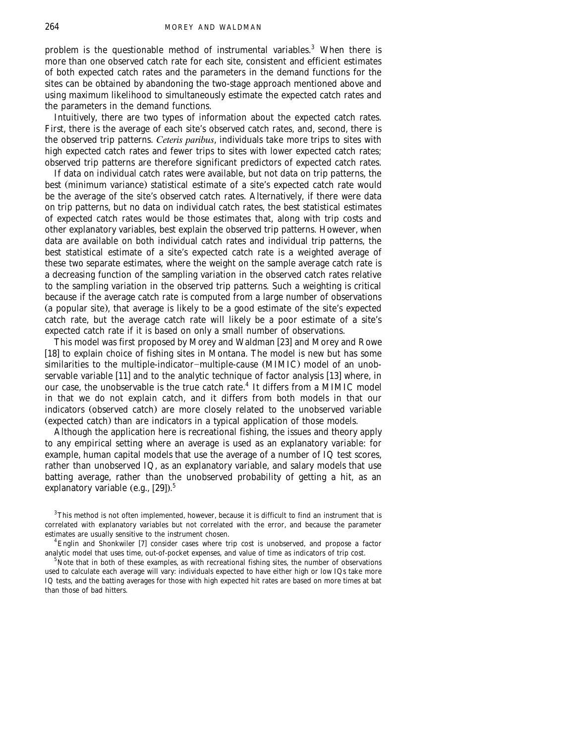problem is the questionable method of instrumental variables.<sup>3</sup> When there is more than one observed catch rate for each site, consistent and efficient estimates of both expected catch rates and the parameters in the demand functions for the sites can be obtained by abandoning the two-stage approach mentioned above and using maximum likelihood to simultaneously estimate the expected catch rates and the parameters in the demand functions.

Intuitively, there are two types of information about the expected catch rates. First, there is the average of each site's observed catch rates, and, second, there is the observed trip patterns. *Ceteris paribus*, individuals take more trips to sites with high expected catch rates and fewer trips to sites with lower expected catch rates: observed trip patterns are therefore significant predictors of expected catch rates.

If data on individual catch rates were available, but not data on trip patterns, the best (minimum variance) statistical estimate of a site's expected catch rate would be the average of the site's observed catch rates. Alternatively, if there were data on trip patterns, but no data on individual catch rates, the best statistical estimates of expected catch rates would be those estimates that, along with trip costs and other explanatory variables, best explain the observed trip patterns. However, when data are available on both individual catch rates and individual trip patterns, the best statistical estimate of a site's expected catch rate is a weighted average of these two separate estimates, where the weight on the sample average catch rate is a decreasing function of the sampling variation in the observed catch rates relative to the sampling variation in the observed trip patterns. Such a weighting is critical because if the average catch rate is computed from a large number of observations (a popular site), that average is likely to be a good estimate of the site's expected catch rate, but the average catch rate will likely be a poor estimate of a site's expected catch rate if it is based on only a small number of observations.

This model [w](#page-13-0)as first proposed by Morey and Waldman [23] and Morey and Rowe  $[18]$  to explain choice of fishing sites in Montana. The model is new but has some similarities to the multiple-indicator-multiple-cause (MIMIC) model of an unobservable variable [11] and to the analytic technique of factor analysis [13] [w](#page-13-0)here, in our case, the unobservable is the true catch rate.<sup>4</sup> It differs from a MIMIC model in that we do not explain catch, and it differs from both models in that our indicators (observed catch) are more closely related to the unobserved variable (expected catch) than are indicators in a typical application of those models.

Although the application here is recreational fishing, the issues and theory apply to any empirical setting where an average is used as an explanatory variable: for example, human capital models that use the average of a number of IQ test scores, rather than unobserved IQ, as an explanatory variable, and salary models that use batting average, rather than the unobserved probability of getting a hit, as an explanatory variable (e.g.,  $[29]$ ).<sup>5</sup>

 $5$ Note that in both of these examples, as with recreational fishing sites, the number of observations used to calculate each average will vary: individuals expected to have either high or low IQs take more IQ tests, and the batting averages for those with high expected hit rates are based on more times at bat than those of bad hitters.

 $3$ This method is not often implemented, however, because it is difficult to find an instrument that is correlated with explanatory variables but not correlated with the error, and because the parameter estimates are usually sensitive to the instrument chosen. <sup>4</sup>

 ${}^{4}$ Englin and Shonkwiler [7] consider cases where trip cost is unobserved, and propose a factor analytic model that uses time, out-of-pocket expenses, and value of time as indicators of trip cost. <sup>5</sup>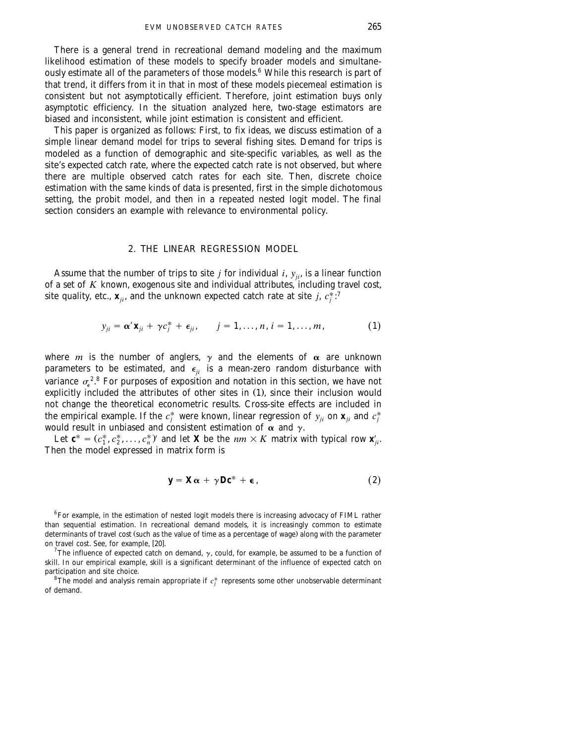There is a general trend in recreational demand modeling and the maximum likelihood estimation of these models to specify broader models and simultaneously estimate all of the parameters of those models.<sup>6</sup> While this research is part of that trend, it differs from it in that in most of these models piecemeal estimation is consistent but not asymptotically efficient. Therefore, joint estimation buys only asymptotic efficiency. In the situation analyzed here, two-stage estimators are biased and inconsistent, while joint estimation is consistent and efficient.

This paper is organized as follows: First, to fix ideas, we discuss estimation of a simple linear demand model for trips to several fishing sites. Demand for trips is modeled as a function of demographic and site-specific variables, as well as the site's expected catch rate, where the expected catch rate is not observed, but where there are multiple observed catch rates for each site. Then, discrete choice estimation with the same kinds of data is presented, first in the simple dichotomous setting, the probit model, and then in a repeated nested logit model. The final section considers an example with relevance to environmental policy.

#### 2. THE LINEAR REGRESSION MODEL

Assume that the number of trips to site  $j$  for individual  $i$ ,  $y_{ji}$ , is a linear function of a set of *K* known, exogenous site and individual attributes, including travel cost, site quality, etc.,  $\mathbf{x}_{ji}$ , and the unknown expected catch rate at site  $j$ ,  $c_j^*$ :<sup>7</sup>

$$
y_{ji} = \alpha' \mathbf{x}_{ji} + \gamma c_j^* + \epsilon_{ji}, \qquad j = 1, \dots, n, i = 1, \dots, m,
$$
 (1)

where *m* is the number of anglers,  $\gamma$  and the elements of  $\alpha$  are unknown parameters to be estimated, and  $\epsilon_{ii}$  is a mean-zero random disturbance with variance  $\sigma_{\epsilon}^{2.8}$  For purposes of exposition and notation in this section, we have not explicitly included the attributes of other sites in  $(1)$ , since their inclusion would not change the theoretical econometric results. Cross-site effects are included in the empirical example. If the  $c_j^*$  were known, linear regression of  $y_{ji}$  on  $\mathbf{x}_{ji}$  and  $c_j^*$ would result in unbiased and consistent estimation of  $\alpha$  and  $\gamma$ .

Let  $\mathbf{c}^* = (c_1^*, c_2^*, \dots, c_n^*)$  and let **X** be the  $nm \times K$  matrix with typical row  $\mathbf{x}'_{ji}$ . Then the model expressed in matrix form is

$$
y = X\alpha + \gamma Dc^* + \epsilon, \qquad (2)
$$

 $^6$ For example, in the estimation of nested logit models there is increasing advocacy of FIML rather than sequential estimation. In recreational demand models, it is increasingly common to estimate determinants of travel cost (such as the value of time as a percentage of wage) along with the parameter on travel cost. See, for example, [20].

The influence of expected catch on demand,  $\gamma$ , could, for example, be assumed to be a function of skill. In our empirical example, skill is a significant determinant of the influence of expected catch on participation and site choice.

The model and analysis remain appropriate if  $c_j^*$  represents some other unobservable determinant of demand.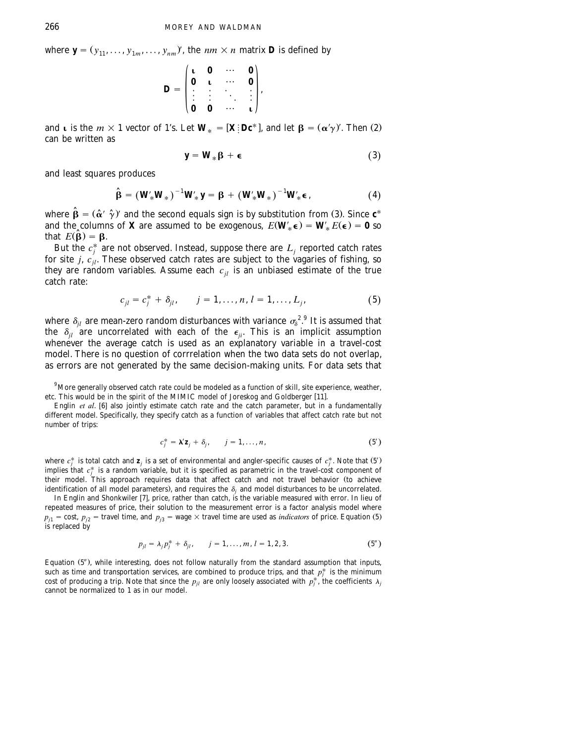where  $\mathbf{y} = (y_{11}, \ldots, y_{1m}, \ldots, y_{nm})'$ , the *nm*  $\times n$  matrix **D** is defined by

$$
\mathbf{D} = \begin{pmatrix} \mathbf{L} & \mathbf{0} & \cdots & \mathbf{0} \\ \mathbf{0} & \mathbf{L} & \cdots & \mathbf{0} \\ \vdots & \vdots & \ddots & \vdots \\ \mathbf{0} & \mathbf{0} & \cdots & \mathbf{L} \end{pmatrix},
$$

and **i** is the  $m \times 1$  vector of 1's. Let  $W_* = [X : Dc^*]$ , and let  $\beta = (\alpha' \gamma)'$ . Then (2) can be written as

$$
\mathbf{y} = \mathbf{W}_{*} \mathbf{\beta} + \boldsymbol{\epsilon} \tag{3}
$$

and least squares produces

$$
\widehat{\boldsymbol{\beta}} = \left(\mathbf{W}'_{*}\mathbf{W}_{*}\right)^{-1}\mathbf{W}'_{*}\mathbf{y} = \boldsymbol{\beta} + \left(\mathbf{W}'_{*}\mathbf{W}_{*}\right)^{-1}\mathbf{W}'_{*}\boldsymbol{\epsilon},\tag{4}
$$

where  $\beta = (\hat{\alpha}' \hat{\gamma})'$  and the second equals sign is by substitution from (3). Since  $\mathbf{c}^*$ and the columns of **X** are assumed to be exogenous,  $E(\mathbf{W}_{*}^{T} \mathbf{\epsilon}) = \mathbf{W}_{*}^{T} E(\mathbf{\epsilon}) = \mathbf{0}$  so that  $E(\hat{\beta}) = \beta$ .

But the  $c_j^*$  are not observed. Instead, suppose there are  $L_j$  reported catch rates for site *j*,  $c_{jl}$ . These observed catch rates are subject to the vagaries of fishing, so they are random variables. Assume each  $c_{il}$  is an unbiased estimate of the true catch rate:

$$
c_{jl} = c_j^* + \delta_{jl}, \qquad j = 1, \dots, n, l = 1, \dots, L_j,
$$
 (5)

where  $\delta_{jl}$  are mean-zero random disturbances with variance  $\sigma_{\delta}^{\;\;2,\;\;9}$  It is assumed that the  $\delta_{il}$  are uncorrelated with each of the  $\epsilon_{il}$ . This is an implicit assumption whenever the average catch is used as an explanatory variable in a travel-cost model. There is no question of corrrelation when the two data sets do not overlap, as errors are not generated by the same decision-making units. For data sets that

 $^9$ More generally observed catch rate could be modeled as a function of skill, site experience, weather, etc. This [w](#page-13-0)ould be in the spirit of the MIMIC model of Joreskog and Goldberger [11].

Englin *et al.* [6] also jointly estimate catch rate and the catch parameter, but in a fundamentally different model. Specifically, they specify catch as a function of variables that affect catch rate but not number of trips:

$$
c_j^* = \lambda' \mathbf{z}_j + \delta_j, \qquad j = 1, \dots, n,
$$
 (5')

where  $c_i^*$  is total catch and  $\mathbf{z}_i$  is a set of environmental and angler-specific causes of  $c_i^*$ . Note that (5') implies that  $c_j^*$  is a random variable, but it is specified as parametric in the travel-cost component of their model. This approach requires data that affect catch and not travel behavior (to achieve identification of all model parameters), and requires the  $\delta_i$  and model disturbances to be uncorrelated.

In Englin and Shonkwiler [7], price, rather than catch, is the variable measured with error. In lieu of repeated measures of price, their solution to the measurement error is a factor analysis model where  $p_{i1}$  = cost,  $p_{i2}$  = travel time, and  $p_{i3}$  = wage  $\times$  travel time are used as *indicators* of price. Equation (5) is replaced by

$$
p_{jl} = \lambda_j p_j^* + \delta_{jl}, \qquad j = 1, ..., m, l = 1, 2, 3. \tag{5''}
$$

Equation  $(5'')$ , while interesting, does not follow naturally from the standard assumption that inputs, such as time and transportation services, are combined to produce trips, and that  $p_j^*$  is the minimum cost of producing a trip. Note that since the  $p_{jl}$  are only loosely associated with  $p_j^*$ , the coefficients  $\lambda_j$ cannot be normalized to 1 as in our model.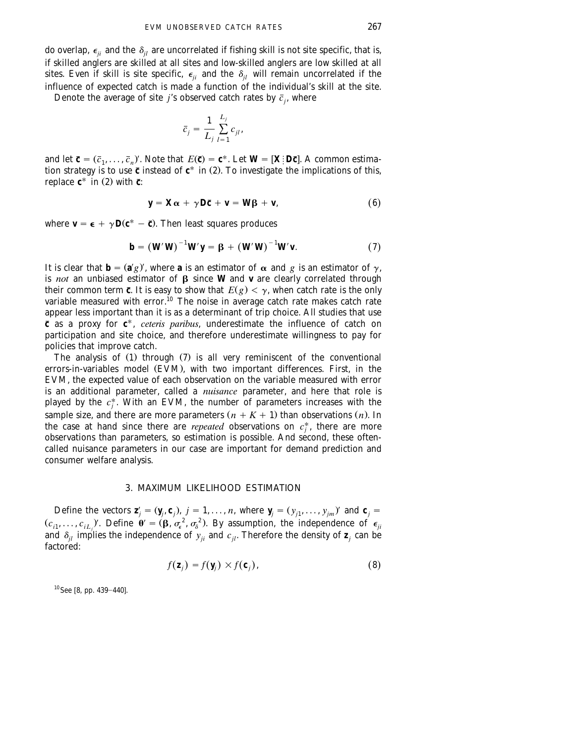do overlap,  $\epsilon_{ii}$  and the  $\delta_{il}$  are uncorrelated if fishing skill is not site specific, that is, if skilled anglers are skilled at all sites and low-skilled anglers are low skilled at all sites. Even if skill is site specific,  $\epsilon_{ii}$  and the  $\delta_{ii}$  will remain uncorrelated if the influence of expected catch is made a function of the individual's skill at the site.

Denote the average of site *j*'s observed catch rates by  $\bar{c}_i$ , where

$$
\bar{c}_j = \frac{1}{L_j} \sum_{l=1}^{L_j} c_{jl},
$$

and let  $\bar{\mathbf{c}} = (\bar{c}_1, ..., \bar{c}_n)$ . Note that  $E(\bar{\mathbf{c}}) = \mathbf{c}^*$ . Let  $\mathbf{W} = [\mathbf{X} : \mathbf{D}\bar{\mathbf{c}}]$ . A common estimation strategy is to use  $\bar{\mathbf{c}}$  instead of  $\mathbf{c}^*$  in (2). To investigate the implications of t

$$
\mathbf{y} = \mathbf{X}\alpha + \gamma \mathbf{D}\bar{\mathbf{c}} + \mathbf{v} = \mathbf{W}\beta + \mathbf{v},\tag{6}
$$

where  $\mathbf{v} = \boldsymbol{\epsilon} + \gamma \mathbf{D}(\mathbf{c}^* - \bar{\mathbf{c}})$ . Then least squares produces

$$
\mathbf{b} = \left(\mathbf{W}^{\prime}\mathbf{W}\right)^{-1}\mathbf{W}^{\prime}\mathbf{y} = \boldsymbol{\beta} + \left(\mathbf{W}^{\prime}\mathbf{W}\right)^{-1}\mathbf{W}^{\prime}\mathbf{v}.\tag{7}
$$

It is clear that  $\mathbf{b} = (\mathbf{a}'g)'$ , where **a** is an estimator of  $\alpha$  and g is an estimator of  $\gamma$ , is *not* an unbiased estimator of  $\beta$  since **W** and **v** are clearly correlated through their common term  $\bar{c}$ . It is easy to show that  $E(g) < \gamma$ , when catch rate is the only variable measured with error.<sup>10</sup> The noise in average catch rate makes catch rate appear less important than it is as a determinant of trip choice. All studies that use  $\bar{c}$  as a proxy for  $c^*$ , *ceteris paribus*, underestimate the influence of catch on participation and site choice, and therefore underestimate willingness to pay for policies that improve catch.

The analysis of  $(1)$  through  $(7)$  is all very reminiscent of the conventional errors-in-variables model (EVM), with two important differences. First, in the EVM, the expected value of each observation on the variable measured with error is an additional parameter, called a *nuisance* parameter, and here that role is played by the  $c_j^*$ . With an EVM, the number of parameters increases with the sample size, and there are more parameters  $(n + K + 1)$  than observations  $(n)$ . In the case at hand since there are *repeated* observations on  $c_j^*$ , there are more observations than parameters, so estimation is possible. And second, these oftencalled nuisance parameters in our case are important for demand prediction and consumer welfare analysis.

#### 3. MAXIMUM LIKELIHOOD ESTIMATION

Define the vectors  $\mathbf{z}'_j = (\mathbf{y}_j, \mathbf{c}_j)$ ,  $j = 1, \ldots, n$ , where  $\mathbf{y}_j = (y_{j1}, \ldots, y_{jm})'$  and  $\mathbf{c}_j =$  $(c_{i1}, \ldots, c_{iL_i})'$ . Define  $\theta' = (\beta, \sigma_{\epsilon}^2, \sigma_{\delta}^2)$ . By assumption, the independence of  $\epsilon_{ji}$ and  $\delta_{il}$  implies the independence of  $y_{il}$  and  $c_{il}$ . Therefore the density of  $\mathbf{z}_i$  can be factored:

$$
f(\mathbf{z}_j) = f(\mathbf{y}_j) \times f(\mathbf{c}_j),
$$
\n(8)

 $10$  See [8, pp. 439-440].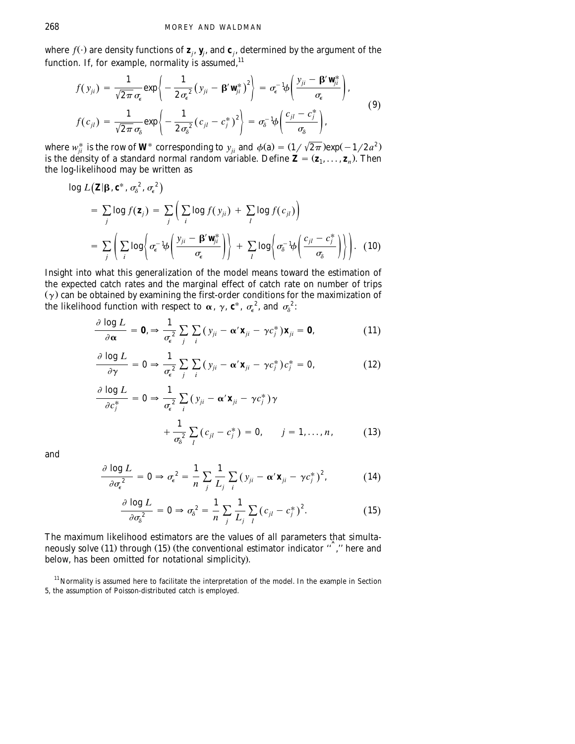where  $f(\cdot)$  are density functions of  $\mathbf{z}_i$ ,  $\mathbf{y}_i$ , and  $\mathbf{c}_i$ , determined by the argument of the function. If, for example, normality is assumed, $^{11}$ 

$$
f(y_{ji}) = \frac{1}{\sqrt{2\pi} \sigma_{\epsilon}} \exp\left\{-\frac{1}{2\sigma_{\epsilon}^{2}}(y_{ji} - \boldsymbol{\beta}' \boldsymbol{\mathbf{w}}_{ji}^{*})^{2}\right\} = \sigma_{\epsilon}^{-1} \phi \left(\frac{y_{ji} - \boldsymbol{\beta}' \boldsymbol{\mathbf{w}}_{ji}^{*}}{\sigma_{\epsilon}}\right),
$$
  

$$
f(c_{jl}) = \frac{1}{\sqrt{2\pi} \sigma_{\delta}} \exp\left\{-\frac{1}{2\sigma_{\delta}^{2}}(c_{jl} - c_{j}^{*})^{2}\right\} = \sigma_{\delta}^{-1} \phi \left(\frac{c_{jl} - c_{j}^{*}}{\sigma_{\delta}}\right),
$$
 (9)

where  $w_{ji}^*$  is the row of **W**<sup>\*</sup> corresponding to  $y_{ji}$  and  $\phi(a) = (1/\sqrt{2\pi})\exp(-1/2a^2)$ is the density of a standard normal random variable. Define  $\mathbf{Z} = (\mathbf{z}_1, \ldots, \mathbf{z}_n)$ . Then the log-likelihood may be written as

$$
\log L(\mathbf{Z}|\boldsymbol{\beta}, \mathbf{c}^*, \sigma_{\delta}^2, \sigma_{\epsilon}^2)
$$
\n
$$
= \sum_{j} \log f(\mathbf{z}_j) = \sum_{j} \left( \sum_{i} \log f(y_{ji}) + \sum_{l} \log f(c_{jl}) \right)
$$
\n
$$
= \sum_{j} \left( \sum_{i} \log \left\{ \sigma_{\epsilon}^{-1} \phi \left( \frac{y_{ji} - \boldsymbol{\beta}' \mathbf{w}_{ji}^*}{\sigma_{\epsilon}} \right) \right\} + \sum_{l} \log \left\{ \sigma_{\delta}^{-1} \phi \left( \frac{c_{jl} - c_{j}^*}{\sigma_{\delta}} \right) \right\} \right). \quad (10)
$$

Insight into what this generalization of the model means toward the estimation of the expected catch rates and the marginal effect of catch rate on number of trips  $(\gamma)$  can be obtained by examining the first-order conditions for the maximization of the likelihood function with respect to  $\alpha$ ,  $\gamma$ ,  $\mathbf{c}^*$ ,  $\sigma_{\epsilon}^2$ , and  $\sigma_{\delta}^2$ .

$$
\frac{\partial \log L}{\partial \alpha} = \mathbf{0}, \Rightarrow \frac{1}{\sigma_{\epsilon}^2} \sum_{j} \sum_{i} (y_{ji} - \alpha' \mathbf{x}_{ji} - \gamma c_j^*) \mathbf{x}_{ji} = \mathbf{0},
$$
\n(11)

$$
\frac{\partial \log L}{\partial \gamma} = 0 \Rightarrow \frac{1}{\sigma_{\epsilon}^2} \sum_{j} \sum_{i} (y_{ji} - \alpha' \mathbf{x}_{ji} - \gamma c_j^*) c_j^* = 0, \qquad (12)
$$

$$
\frac{\partial \log L}{\partial c_j^*} = 0 \Rightarrow \frac{1}{\sigma_{\epsilon}^2} \sum_i (y_{ji} - \alpha' \mathbf{x}_{ji} - \gamma c_j^*) \gamma
$$
  
+ 
$$
\frac{1}{\sigma_{\delta}^2} \sum_l (c_{jl} - c_j^*) = 0, \qquad j = 1, ..., n,
$$
 (13)

and

$$
\frac{\partial \log L}{\partial \sigma_{\epsilon}^2} = 0 \Rightarrow \sigma_{\epsilon}^2 = \frac{1}{n} \sum_j \frac{1}{L_j} \sum_i (y_{ji} - \alpha' \mathbf{x}_{ji} - \gamma c_j^*)^2, \tag{14}
$$

$$
\frac{\partial \log L}{\partial \sigma_{\delta}^2} = 0 \Rightarrow \sigma_{\delta}^2 = \frac{1}{n} \sum_{j} \frac{1}{L_j} \sum_{l} (c_{jl} - c_j^*)^2. \tag{15}
$$

The maximum likelihood estimators are the values of all parameters that simultaneously solve (11) through (15) (the conventional estimator indicator "," here and below, has been omitted for notational simplicity).

<sup>11</sup> Normality is assumed here to facilitate the interpretation of the model. In the example in [Section](#page-10-0) [5,](#page-10-0) the assumption of Poisson-distributed catch is employed.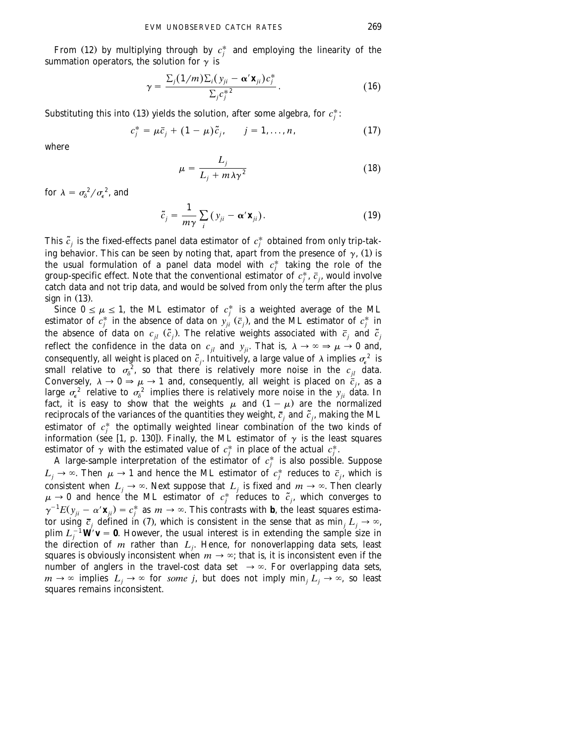From (12) by multiplying through by  $c_i^*$  and employing the linearity of the summation operators, the solution for  $\gamma$  is

$$
\gamma = \frac{\sum_{j} (1/m) \sum_{i} (y_{ji} - \alpha' \mathbf{x}_{ji}) c_j^*}{\sum_{j} c_j^{*2}}.
$$
 (16)

Substituting this into (13) yields the solution, after some algebra, for  $c_i^*$ :

$$
c_j^* = \mu \bar{c}_j + (1 - \mu)\tilde{c}_j, \qquad j = 1, \dots, n, \tag{17}
$$

where

$$
\mu = \frac{L_j}{L_j + m \lambda \gamma^2} \tag{18}
$$

for  $\lambda = \sigma_{\delta}^2 / \sigma_{\epsilon}^2$ , and

$$
\tilde{c}_j = \frac{1}{m\gamma} \sum_i (y_{ji} - \boldsymbol{\alpha}' \mathbf{x}_{ji}).
$$
\n(19)

This  $\tilde{c}_j$  is the fixed-effects panel data estimator of  $c_j^*$  obtained from only trip-taking behavior. This can be seen by noting that, apart from the presence of  $\gamma$ , (1) is the usual formulation of a panel data model with  $c_j^*$  taking the role of the *group-specific effect*. Note that the conventional estimator of  $c_j^*$ ,  $\bar{c}_j$ , would involve catch data and not trip data, and would be solved from only the term after the plus sign in  $(13)$ .

Since  $0 \leq \mu \leq 1$ , the ML estimator of  $c_i^*$ estimator of  $c_i^*$  in the absence of data on  $y_{ii}$   $(\bar{c}_i)$ , and the ML estimator of  $c_i^*$  in the absence of data on  $c_{jl}$  ( $\tilde{c}_j$ ). The relative weights associated with  $\bar{c}_j$  and  $\tilde{c}_j$ reflect the confidence in the data on  $c_{il}$  and  $y_{il}$ . That is,  $\lambda \to \infty \Rightarrow \mu \to 0$  and, consequently, all weight is placed on  $\tilde{c}_i$ . Intuitively, a large value of  $\lambda$  implies  $\sigma_{\epsilon}^2$  is small relative to  $\sigma_{\delta}^2$ , so that there is relatively more noise in the  $c_{jl}$  data. Conversely,  $\lambda \to 0 \Rightarrow \mu \to 1$  and, consequently, all weight is placed on  $\bar{c}_i$ , as a large  $\sigma_{\epsilon}^2$  relative to  $\sigma_{\delta}^2$  implies there is relatively more noise in the  $y_{ji}$  data. In fact, it is easy to show that the weights  $\mu$  and  $(1 - \mu)$  are the normalized reciprocals of the variances of the quantities they weight,  $\bar{c}_i$  and  $\tilde{c}_i$ , making the ML estimator of  $c_j^*$  the optimally weighted linear combination of the two kinds of information (see [1, p. 130]). Finally, the ML estimator of  $\gamma$  is the least squares estimator of  $\gamma$  with the estimated value of  $c_j^*$  in place of the actual  $c_j^*$ .

A large-sample interpretation of the estimator of  $c_j^*$  is also possible. Suppose  $L_j \to \infty$ . Then  $\mu \to 1$  and hence the ML estimator of  $c_j^*$  reduces to  $\bar{c}_j$ , which is consistent when  $L_i \rightarrow \infty$ . Next suppose that  $L_i$  is fixed and  $m \rightarrow \infty$ . Then clearly  $\mu \rightarrow 0$  and hence the ML estimator of  $c_j^*$  reduces to  $\tilde{c}_j$ , which converges to  $\gamma^{-1} E(y_{ii} - \alpha' \mathbf{x}_{ii}) = c_i^*$  as  $m \to \infty$ . This contrasts with **b**, the least squares estimator using  $\bar{c}_i$  defined in (7), which is consistent in the sense that as min<sub>i</sub>  $L_i \rightarrow \infty$ , plim  $L_j^{-1}$  **W**<sup>'</sup> **v** = 0. However, the usual interest is in extending the sample size in the direction of *m* rather than  $L_i$ . Hence, for nonoverlapping data sets, least squares is obviously inconsistent when  $m \to \infty$ ; that is, it is inconsistent even if the number of anglers in the travel-cost data set  $\rightarrow \infty$ . For overlapping data sets,  $m \to \infty$  implies  $L_i \to \infty$  for *some j*, but does not imply min<sub>i</sub>  $L_i \to \infty$ , so least squares remains inconsistent.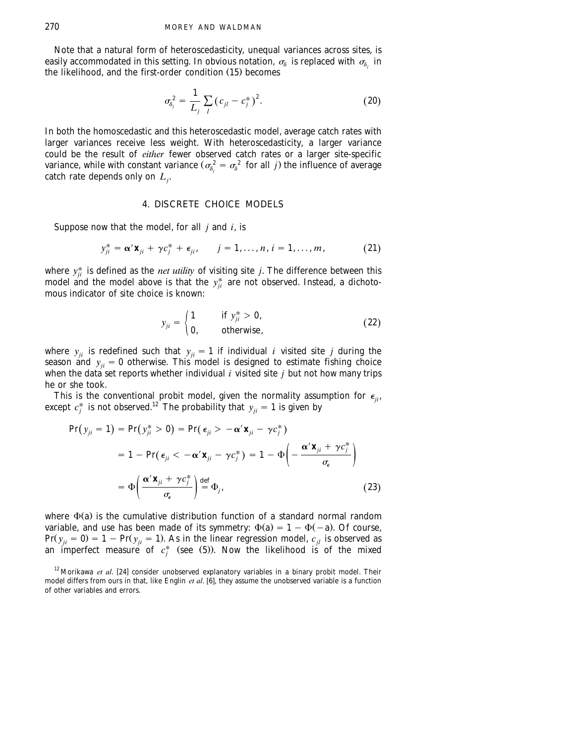Note that a natural form of heteroscedasticity, unequal variances across sites, is easily accommodated in this setting. In obvious notation,  $\sigma_{\delta}$  is replaced with  $\sigma_{\delta}$  in the likelihood, and the first-order condition (15) becomes

$$
\sigma_{\delta_j}^2 = \frac{1}{L_j} \sum_l (c_{jl} - c_j^*)^2.
$$
 (20)

In both the homoscedastic and this heteroscedastic model, average catch rates with larger variances receive less weight. With heteroscedasticity, a larger variance could be the result of *either* fewer observed catch rates or a larger site-specific variance, while with constant variance ( $\sigma_{\delta}^2 = \sigma_{\delta}^2$  for all *j*) the influence of average catch rate depends only on  $L_j$ .

#### 4. DISCRETE CHOICE MODELS

Suppose now that the model, for all *j* and *i*, is

$$
y_{ji}^* = \alpha' \mathbf{x}_{ji} + \gamma c_j^* + \epsilon_{ji}, \qquad j = 1, ..., n, \quad i = 1, ..., m,
$$
 (21)

where  $y_{ji}^*$  is defined as the *net utility* of visiting site *j*. The difference between this model and the model above is that the  $y_{ji}^*$  are not observed. Instead, a dichotomous indicator of site choice is known:

$$
y_{ji} = \begin{cases} 1 & \text{if } y_{ji}^* > 0, \\ 0, & \text{otherwise,} \end{cases}
$$
 (22)

where  $y_{ii}$  is redefined such that  $y_{ii} = 1$  if individual *i* visited site *j* during the season and  $y_{ii} = 0$  otherwise. This model is designed to estimate fishing choice when the data set reports whether individual  $i$  visited site  $j$  but not how many trips he or she took.

This is the conventional probit model, given the normality assumption for  $\epsilon_{ji}$ , except  $c_j^*$  is not observed.<sup>12</sup> The probability that  $y_{ji} = 1$  is given by

$$
Pr(y_{ji} = 1) = Pr(y_{ji}^{*} > 0) = Pr(\epsilon_{ji} > -\alpha' \mathbf{x}_{ji} - \gamma c_{j}^{*})
$$
  

$$
= 1 - Pr(\epsilon_{ji} < -\alpha' \mathbf{x}_{ji} - \gamma c_{j}^{*}) = 1 - \Phi\left(-\frac{\alpha' \mathbf{x}_{ji} + \gamma c_{j}^{*}}{\sigma_{\epsilon}}\right)
$$
  

$$
= \Phi\left(\frac{\alpha' \mathbf{x}_{ji} + \gamma c_{j}^{*}}{\sigma_{\epsilon}}\right) \stackrel{\text{def}}{=} \Phi_{j}, \qquad (23)
$$

where  $\Phi$ (a) is the cumulative distribution function of a standard normal random variable, and use has been made of its symmetry:  $\Phi(a) = 1 - \Phi(-a)$ . Of course,  $Pr(y_{ji} = 0) = 1 - Pr(y_{ji} = 1)$ . As in the linear regression model,  $c_{il}$  is observed as an imperfect measure of  $c_i^*$  (see  $(5)$ ). Now the likelihood is of the mixed

<sup>&</sup>lt;sup>12</sup> Morikawa *et al.* [24] consider unobserved explanatory variables in a binary probit model. Their model differs from ours in that, like Englin *et al.* [6], they assume the unobserved variable is a function of other variables and errors.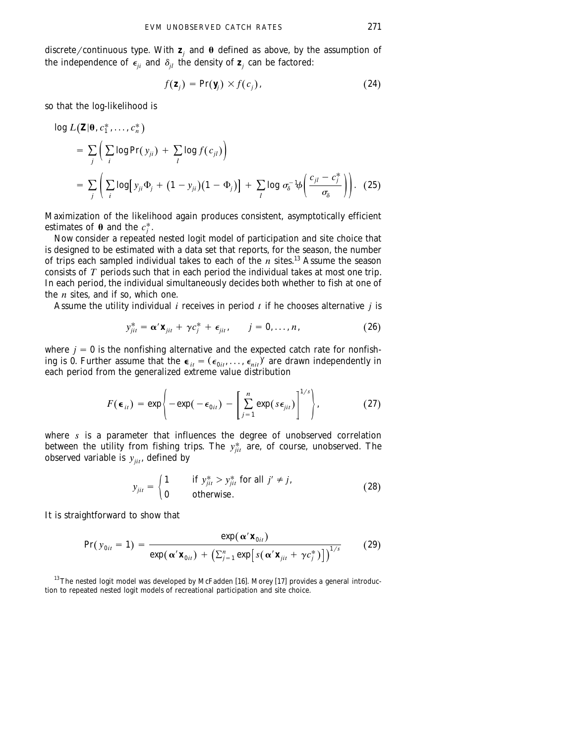discrete/continuous type. With  $z_i$  and  $\theta$  defined as above, by the assumption of the independence of  $\epsilon_{ii}$  and  $\delta_{ii}$  the density of  $\mathbf{z}_i$  can be factored:

$$
f(\mathbf{z}_j) = \Pr(\mathbf{y}_j) \times f(c_j), \tag{24}
$$

so that the log-likelihood is

$$
\log L(\mathbf{Z}|\boldsymbol{\theta}, c_1^*, \dots, c_n^*)
$$
\n
$$
= \sum_j \left( \sum_i \log \Pr(y_{ji}) + \sum_l \log f(c_{jl}) \right)
$$
\n
$$
= \sum_j \left( \sum_i \log [y_{ji} \Phi_j + (1 - y_{ji})(1 - \Phi_j)] + \sum_l \log \sigma_\delta^{-1} \phi \left( \frac{c_{jl} - c_j^*}{\sigma_\delta} \right) \right). \quad (25)
$$

Maximization of the likelihood again produces consistent, asymptotically efficient estimates of  $\theta$  and the  $c_j^*$ .

Now consider a repeated nested logit model of participation and site choice that is designed to be estimated with a data set that reports, for the season, the number of trips each sampled individual takes to each of the *n* sites.13 Assume the season consists of *T* periods such that in each period the individual takes at most one trip. In each period, the individual simultaneously decides both whether to fish at one of the *n* sites, and if so, which one.

Assume the utility individual  $i$  receives in period  $t$  if he chooses alternative  $j$  is

$$
y_{jit}^* = \alpha' \mathbf{x}_{jit} + \gamma c_j^* + \epsilon_{jit}, \qquad j = 0, ..., n,
$$
 (26)

where  $j = 0$  is the nonfishing alternative and the expected catch rate for nonfishing is 0. Further assume that the  $\epsilon_{it} = (\epsilon_{0it}, \ldots, \epsilon_{nit})$  are drawn independently in each period from the generalized extreme value distribution

$$
F(\boldsymbol{\epsilon}_{it}) = \exp\bigg\{-\exp(-\epsilon_{0it}) - \bigg[\sum_{j=1}^{n} \exp(s\epsilon_{jit})\bigg]^{1/s}\bigg\},
$$
 (27)

where *s* is a parameter that influences the degree of unobserved correlation between the utility from fishing trips. The  $y_{jit}^*$  are, of course, unobserved. The observed variable is  $y_{ii}$ , defined by

$$
y_{jit} = \begin{cases} 1 & \text{if } y_{jit}^* > y_{jit}^* \text{ for all } j' \neq j, \\ 0 & \text{otherwise.} \end{cases}
$$
 (28)

It is straightforward to show that

$$
Pr(y_{0it} = 1) = \frac{\exp(\alpha' \mathbf{x}_{0it})}{\exp(\alpha' \mathbf{x}_{0it}) + (\sum_{j=1}^{n} \exp[s(\alpha' \mathbf{x}_{jit} + \gamma c_{j}^{*})])^{1/s}}
$$
(29)

 $^{13}$ The nested logit model was developed by McFadden [16]. Morey [17] provides a general introduction to repeated nested logit models of recreational participation and site choice.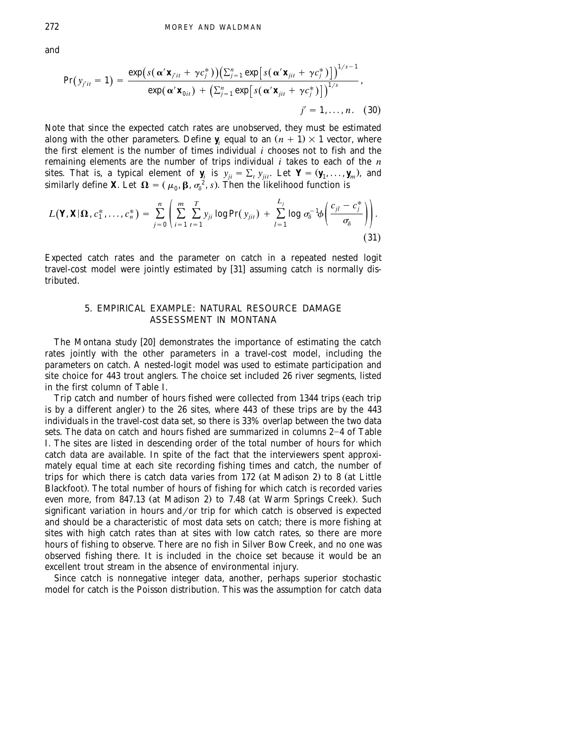<span id="page-10-0"></span>
$$
Pr(y_{j'i} = 1) = \frac{\exp(s(\alpha' \mathbf{x}_{j'i} + \gamma c_j^*)) (\sum_{j=1}^n \exp[s(\alpha' \mathbf{x}_{jit} + \gamma c_j^*)])^{1/s-1}}{\exp(\alpha' \mathbf{x}_{0it}) + (\sum_{j=1}^n \exp[s(\alpha' \mathbf{x}_{jit} + \gamma c_j^*)])^{1/s}},
$$
  

$$
j' = 1, ..., n. \quad (30)
$$

Note that since the expected catch rates are unobserved, they must be estimated along with the other parameters. Define **y** equal to an  $(n + 1) \times 1$  vector, where the first element is the number of times individual *i* chooses not to fish and the remaining elements are the number of trips individual *i* takes to each of the *n* sites. That is, a typical element of  $\mathbf{y}_i$  is  $y_{ji} = \sum_t y_{jit}$ . Let  $\mathbf{Y} = (\mathbf{y}_1, \dots, \mathbf{y}_m)$ , and similarly define **X**. Let  $\Omega = (\mu_0, \beta, \sigma_\delta^2, s)$ . Then the likelihood function is

$$
L(\mathbf{Y}, \mathbf{X} | \mathbf{\Omega}, c_1^*, \dots, c_n^*) = \sum_{j=0}^n \left( \sum_{i=1}^m \sum_{t=1}^T y_{ji} \log \Pr(y_{jit}) + \sum_{l=1}^{L_j} \log \sigma_\delta^{-1} \phi \left( \frac{c_{jl} - c_j^*}{\sigma_\delta} \right) \right).
$$
\n(31)

Expected catch rates and the parameter on catch in a repeated nested logit travel-cost model were jointly estimated by [31] assuming catch is normally distributed.

### 5. EMPIRICAL EXAMPLE: NATURAL RESOURCE DAMAGE ASSESSMENT IN MONTANA

The Montana study [20] demonstrates the importance of estimating the catch rates jointly with the other parameters in a travel-cost model, including the parameters on catch. A nested-logit model was used to estimate participation and site choice for 443 trout anglers. The choice set included 26 river segments, listed in the first column of [Table I.](#page-11-0)

Trip catch and number of hours fished were collected from 1344 trips (each trip is by a different angler) to the 26 sites, where 443 of these trips are by the  $443$ individuals in the travel-cost data set, so there is 33% overlap between the two data sets. The data on catch and hours fished are summarized in columns 2–4 of [Table](#page-11-0) [I.](#page-11-0) The sites are listed in descending order of the total number of hours for which catch data are available. In spite of the fact that the interviewers spent approximately equal time at each site recording fishing times and catch, the number of trips for which there is catch data varies from  $172$  (at Madison 2) to 8 (at Little Blackfoot). The total number of hours of fishing for which catch is recorded varies even more, from 847.13 (at Madison 2) to 7.48 (at Warm Springs Creek). Such significant variation in hours and/or trip for which catch is observed is expected and should be a characteristic of most data sets on catch; there is more fishing at sites with high catch rates than at sites with low catch rates, so there are more hours of fishing to observe. There are no fish in Silver Bow Creek, and no one was observed fishing there. It is included in the choice set because it would be an excellent trout stream in the absence of environmental injury.

Since catch is nonnegative integer data, another, perhaps superior stochastic model for catch is the Poisson distribution. This was the assumption for catch data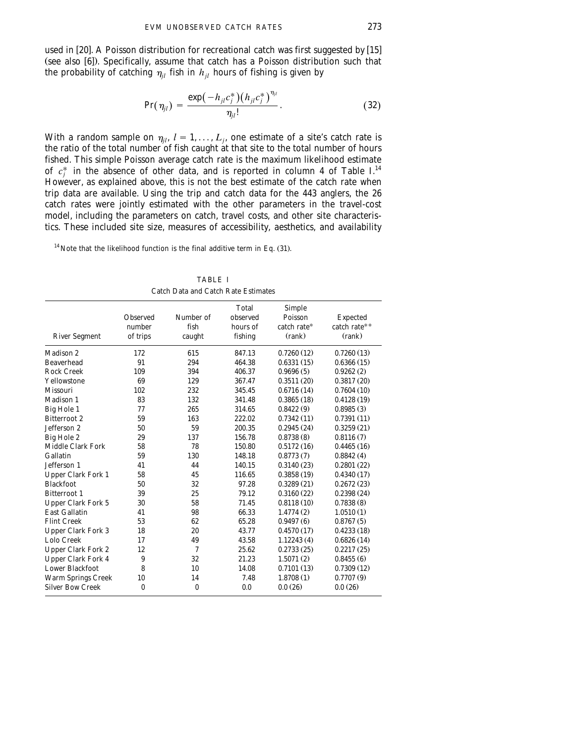<span id="page-11-0"></span>used in [20]. A Poisson distribution for recreational catch [w](#page-13-0)as first suggested by [15] (see also  $[6]$ ). Specifically, assume that catch has a Poisson distribution such that the probability of catching  $\eta_{il}$  fish in  $h_{il}$  hours of fishing is given by

$$
Pr(\eta_{jl}) = \frac{\exp(-h_{jl}c_j^*) (h_{jl}c_j^*)^{\eta_{jl}}}{\eta_{jl}!}.
$$
 (32)

With a random sample on  $\eta_{il}$ ,  $l = 1, ..., L_j$ , one estimate of a site's catch rate is the ratio of the total number of fish caught at that site to the total number of hours fished. This simple Poisson average catch rate is the maximum likelihood estimate of  $c_j^*$  in the absence of other data, and is reported in column 4 of Table I.<sup>14</sup> However, as explained above, this is not the best estimate of the catch rate when trip data are available. Using the trip and catch data for the 443 anglers, the 26 catch rates were jointly estimated with the other parameters in the travel-cost model, including the parameters on catch, travel costs, and other site characteristics. These included site size, measures of accessibility, aesthetics, and availability

 $14$  Note that the likelihood function is the final additive term in Eq. (31).

|                           |          |           | Total    | Simple      |                 |
|---------------------------|----------|-----------|----------|-------------|-----------------|
|                           | Observed | Number of | observed | Poisson     | <b>Expected</b> |
|                           | number   | fish      | hours of | catch rate* | catch rate**    |
| <b>River Segment</b>      | of trips | caught    | fishing  | (rank)      | (rank)          |
| Madison 2                 | 172      | 615       | 847.13   | 0.7260(12)  | 0.7260(13)      |
| Beaverhead                | 91       | 294       | 464.38   | 0.6331(15)  | 0.6366(15)      |
| <b>Rock Creek</b>         | 109      | 394       | 406.37   | 0.9696(5)   | 0.9262(2)       |
| Yellowstone               | 69       | 129       | 367.47   | 0.3511(20)  | 0.3817(20)      |
| Missouri                  | 102      | 232       | 345.45   | 0.6716(14)  | 0.7604(10)      |
| Madison 1                 | 83       | 132       | 341.48   | 0.3865(18)  | 0.4128(19)      |
| <b>Big Hole 1</b>         | 77       | 265       | 314.65   | 0.8422(9)   | 0.8985(3)       |
| <b>Bitterroot 2</b>       | 59       | 163       | 222.02   | 0.7342(11)  | 0.7391(11)      |
| Jefferson 2               | 50       | 59        | 200.35   | 0.2945(24)  | 0.3259(21)      |
| <b>Big Hole 2</b>         | 29       | 137       | 156.78   | 0.8738(8)   | 0.8116(7)       |
| Middle Clark Fork         | 58       | 78        | 150.80   | 0.5172(16)  | 0.4465(16)      |
| Gallatin                  | 59       | 130       | 148.18   | 0.8773(7)   | 0.8842(4)       |
| Jefferson 1               | 41       | 44        | 140.15   | 0.3140(23)  | 0.2801(22)      |
| <b>Upper Clark Fork 1</b> | 58       | 45        | 116.65   | 0.3858(19)  | 0.4340(17)      |
| <b>Blackfoot</b>          | 50       | 32        | 97.28    | 0.3289(21)  | 0.2672(23)      |
| Bitterroot 1              | 39       | 25        | 79.12    | 0.3160(22)  | 0.2398(24)      |
| <b>Upper Clark Fork 5</b> | 30       | 58        | 71.45    | 0.8118(10)  | 0.7838(8)       |
| <b>East Gallatin</b>      | 41       | 98        | 66.33    | 1.4774(2)   | 1.0510(1)       |
| <b>Flint Creek</b>        | 53       | 62        | 65.28    | 0.9497(6)   | 0.8767(5)       |
| <b>Upper Clark Fork 3</b> | 18       | 20        | 43.77    | 0.4570(17)  | 0.4233(18)      |
| Lolo Creek                | 17       | 49        | 43.58    | 1.12243(4)  | 0.6826(14)      |
| <b>Upper Clark Fork 2</b> | 12       | 7         | 25.62    | 0.2733(25)  | 0.2217(25)      |
| <b>Upper Clark Fork 4</b> | 9        | 32        | 21.23    | 1.5071(2)   | 0.8455(6)       |
| <b>Lower Blackfoot</b>    | 8        | 10        | 14.08    | 0.7101(13)  | 0.7309(12)      |
| <b>Warm Springs Creek</b> | 10       | 14        | 7.48     | 1.8708(1)   | 0.7707(9)       |
| <b>Silver Bow Creek</b>   | $\bf{0}$ | $\bf{0}$  | 0.0      | 0.0(26)     | 0.0(26)         |

TABLE I Catch Data and Catch Rate Estimates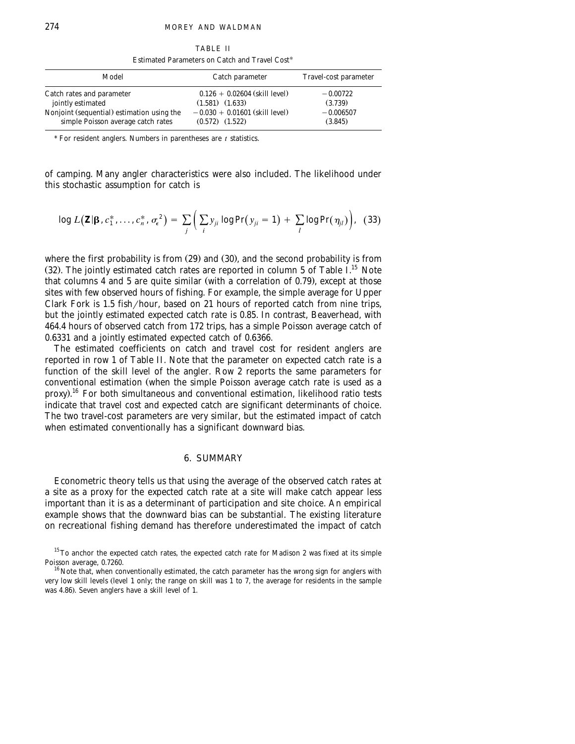| Model                                      | Catch parameter                  | Travel-cost parameter |
|--------------------------------------------|----------------------------------|-----------------------|
| Catch rates and parameter                  | $0.126 + 0.02604$ (skill level)  | $-0.00722$            |
| jointly estimated                          | $(1.581)$ $(1.633)$              | (3.739)               |
| Nonjoint (sequential) estimation using the | $-0.030 + 0.01601$ (skill level) | $-0.006507$           |
| simple Poisson average catch rates         | $(0.572)$ $(1.522)$              | (3.845)               |

TABLE II

Estimated Parameters on Catch and Travel Cost\*

\* For resident anglers. Numbers in parentheses are *t* statistics.

of camping. Many angler characteristics were also included. The likelihood under this stochastic assumption for catch is

$$
\log L(\mathbf{Z}|\mathbf{\beta},c_1^*,\ldots,c_n^*,\sigma_{\epsilon}^2) = \sum_j \left( \sum_i y_{ji} \log \Pr(y_{ji}=1) + \sum_l \log \Pr(\eta_{jl}) \right), (33)
$$

where the first probability is from  $(29)$  and  $(30)$ , and the second probability is from  $(32)$ . The jointly estimated catch rates are reported in column 5 of [Table I.](#page-11-0)<sup>15</sup> Note that columns  $\overline{4}$  and  $\overline{5}$  are quite similar (with a correlation of 0.79), except at those sites with few observed hours of fishing. For example, the simple average for Upper Clark Fork is 1.5 fish/hour, based on 21 hours of reported catch from nine trips, but the jointly estimated expected catch rate is 0.85. In contrast, Beaverhead, with 464.4 hours of observed catch from 172 trips, has a simple Poisson average catch of 0.6331 and a jointly estimated expected catch of 0.6366.

The estimated coefficients on catch and travel cost for resident anglers are reported in row 1 of Table II. Note that the parameter on expected catch rate is a function of the skill level of the angler. Row 2 reports the same parameters for conventional estimation (when the simple Poisson average catch rate is used as a  $proxy$ .<sup>16</sup> For both simultaneous and conventional estimation, likelihood ratio tests indicate that travel cost and expected catch are significant determinants of choice. The two travel-cost parameters are very similar, but the estimated impact of catch when estimated conventionally has a significant downward bias.

#### 6. SUMMARY

Econometric theory tells us that using the average of the observed catch rates at a site as a proxy for the expected catch rate at a site will make catch appear less important than it is as a determinant of participation and site choice. An empirical example shows that the downward bias can be substantial. The existing literature on recreational fishing demand has therefore underestimated the impact of catch

 $15$ To anchor the expected catch rates, the expected catch rate for Madison 2 was fixed at its simple Poisson average, 0.7260.<br><sup>16</sup>Note that, when conventionally estimated, the catch parameter has the wrong sign for anglers with

very low skill levels (level 1 only; the range on skill was 1 to 7, the average for residents in the sample was 4.86). Seven anglers have a skill level of 1.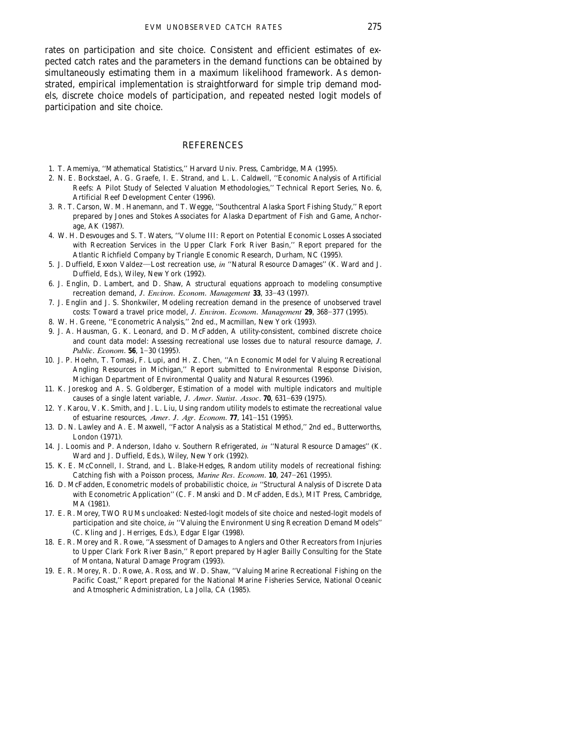<span id="page-13-0"></span>rates on participation and site choice. Consistent and efficient estimates of expected catch rates and the parameters in the demand functions can be obtained by simultaneously estimating them in a maximum likelihood framework. As demonstrated, empirical implementation is straightforward for simple trip demand models, discrete choice models of participation, and repeated nested logit models of participation and site choice.

#### REFERENCES

- 1. T. Amemiya, "Mathematical Statistics," Harvard Univ. Press, Cambridge, MA (1995).
- 2. N. E. Bockstael, A. G. Graefe, I. E. Strand, and L. L. Caldwell, ''Economic Analysis of Artificial Reefs: A Pilot Study of Selected Valuation Methodologies,'' Technical Report Series, No. 6, Artificial Reef Development Center (1996).
- 3. R. T. Carson, W. M. Hanemann, and T. Wegge, ''Southcentral Alaska Sport Fishing Study,'' Report prepared by Jones and Stokes Associates for Alaska Department of Fish and Game, Anchorage, AK (1987).
- 4. W. H. Desvouges and S. T. Waters, ''Volume III: Report on Potential Economic Losses Associated with Recreation Services in the Upper Clark Fork River Basin,'' Report prepared for the Atlantic Richfield Company by Triangle Economic Research, Durham, NC (1995).
- 5. J. Duffield, Exxon Valdez-Lost recreation use, *in* "Natural Resource Damages" (K. Ward and J. Duffield, Eds.), Wiley, New York (1992).
- 6. J. Englin, D. Lambert, and D. Shaw, A structural equations approach to modeling consumptive recreation demand, *J. Environ. Econom. Management* 33, 33-43 (1997).
- 7. J. Englin and J. S. Shonkwiler, Modeling recreation demand in the presence of unobserved travel costs: Toward a travel price model, *J. Environ. Econom. Management* **29**, 368-377 (1995).
- 8. W. H. Greene, "Econometric Analysis," 2nd ed., Macmillan, New York (1993).
- 9. J. A. Hausman, G. K. Leonard, and D. McFadden, A utility-consistent, combined discrete choice and count data model: Assessing recreational use losses due to natural resource damage, *J*. *Public. Econom.* **56**, 1-30 (1995).
- 10. J. P. Hoehn, T. Tomasi, F. Lupi, and H. Z. Chen, ''An Economic Model for Valuing Recreational Angling Resources in Michigan,'' Report submitted to Environmental Response Division, Michigan Department of Environmental Quality and Natural Resources (1996).
- 11. K. Joreskog and A. S. Goldberger, Estimation of a model with multiple indicators and multiple causes of a single latent variable, *J. Amer. Statist. Assoc.* **70**, 631-639 (1975).
- 12. Y. Karou, V. K. Smith, and J. L. Liu, Using random utility models to estimate the recreational value of estuarine resources, *Amer. J. Agr. Econom.* **77**, 141-151 (1995).
- 13. D. N. Lawley and A. E. Maxwell, ''Factor Analysis as a Statistical Method,'' 2nd ed., Butterworths, London (1971).
- 14. J. Loomis and P. Anderson, Idaho v. Southern Refrigerated, *in* ''Natural Resource Damages'' K. Ž Ward and J. Duffield, Eds.), Wiley, New York (1992).
- 15. K. E. McConnell, I. Strand, and L. Blake-Hedges, Random utility models of recreational fishing: Catching fish with a Poisson process, *Marine Res. Econom*. **10**, 247-261 (1995).
- 16. D. McFadden, Econometric models of probabilistic choice, *in* ''Structural Analysis of Discrete Data with Econometric Application" (C. F. Manski and D. McFadden, Eds.), MIT Press, Cambridge, MA (1981).
- 17. E. R. Morey, TWO RUMs uncloaked: Nested-logit models of site choice and nested-logit models of participation and site choice, *in* ''Valuing the Environment Using Recreation Demand Models'' (C. Kling and J. Herriges, Eds.), Edgar Elgar (1998).
- 18. E. R. Morey and R. Rowe, ''Assessment of Damages to Anglers and Other Recreators from Injuries to Upper Clark Fork River Basin,'' Report prepared by Hagler Bailly Consulting for the State of Montana, Natural Damage Program (1993).
- 19. E. R. Morey, R. D. Rowe, A. Ross, and W. D. Shaw, ''Valuing Marine Recreational Fishing on the Pacific Coast,'' Report prepared for the National Marine Fisheries Service, National Oceanic and Atmospheric Administration, La Jolla, CA (1985).